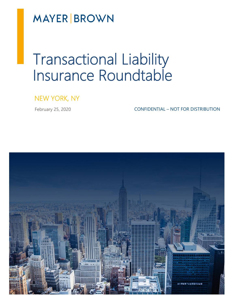**MAYER BROWN** 

# Transactional Liability Insurance Roundtable

## NEW YORK, NY

February 25, 2020 **CONFIDENTIAL – NOT FOR DISTRIBUTION**